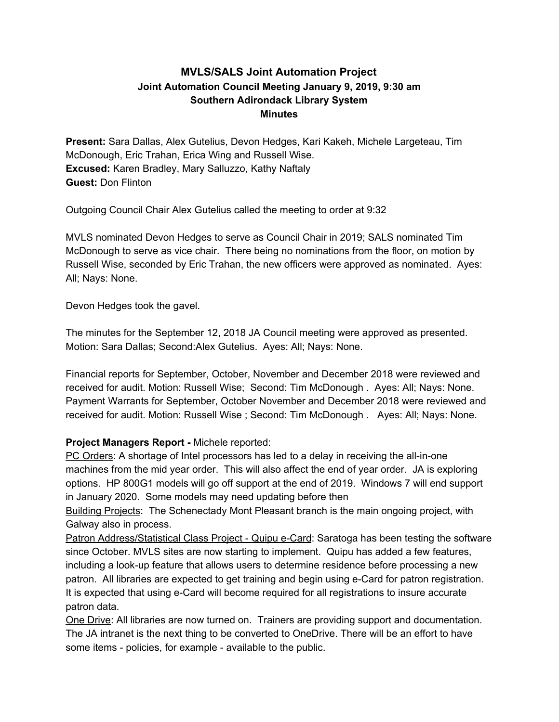# **MVLS/SALS Joint Automation Project Joint Automation Council Meeting January 9, 2019, 9:30 am Southern Adirondack Library System Minutes**

**Present:** Sara Dallas, Alex Gutelius, Devon Hedges, Kari Kakeh, Michele Largeteau, Tim McDonough, Eric Trahan, Erica Wing and Russell Wise. **Excused:** Karen Bradley, Mary Salluzzo, Kathy Naftaly **Guest:** Don Flinton

Outgoing Council Chair Alex Gutelius called the meeting to order at 9:32

MVLS nominated Devon Hedges to serve as Council Chair in 2019; SALS nominated Tim McDonough to serve as vice chair. There being no nominations from the floor, on motion by Russell Wise, seconded by Eric Trahan, the new officers were approved as nominated. Ayes: All; Nays: None.

Devon Hedges took the gavel.

The minutes for the September 12, 2018 JA Council meeting were approved as presented. Motion: Sara Dallas; Second:Alex Gutelius. Ayes: All; Nays: None.

Financial reports for September, October, November and December 2018 were reviewed and received for audit. Motion: Russell Wise; Second: Tim McDonough . Ayes: All; Nays: None. Payment Warrants for September, October November and December 2018 were reviewed and received for audit. Motion: Russell Wise ; Second: Tim McDonough . Ayes: All; Nays: None.

## **Project Managers Report -** Michele reported:

PC Orders: A shortage of Intel processors has led to a delay in receiving the all-in-one machines from the mid year order. This will also affect the end of year order. JA is exploring options. HP 800G1 models will go off support at the end of 2019. Windows 7 will end support in January 2020. Some models may need updating before then

Building Projects: The Schenectady Mont Pleasant branch is the main ongoing project, with Galway also in process.

Patron Address/Statistical Class Project - Quipu e-Card: Saratoga has been testing the software since October. MVLS sites are now starting to implement. Quipu has added a few features, including a look-up feature that allows users to determine residence before processing a new patron. All libraries are expected to get training and begin using e-Card for patron registration. It is expected that using e-Card will become required for all registrations to insure accurate patron data.

One Drive: All libraries are now turned on. Trainers are providing support and documentation. The JA intranet is the next thing to be converted to OneDrive. There will be an effort to have some items - policies, for example - available to the public.